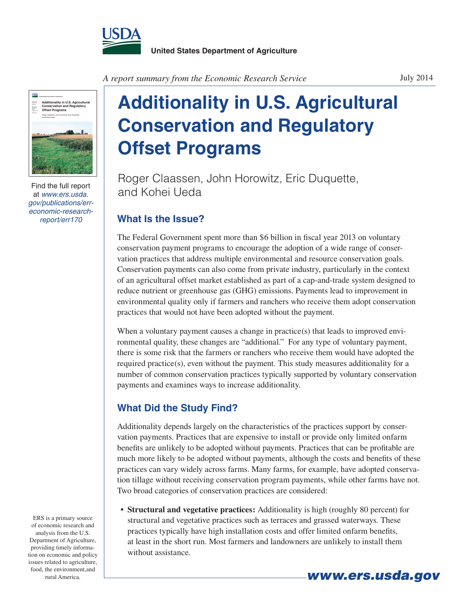

*A report summary from the Economic Research Service*



Find the full report at *www.ers.usda. gov/publications/erreconomic-researchreport/err170*

## **Additionality in U.S. Agricultural Conservation and Regulatory Offset Programs**

Roger Claassen, John Horowitz, Eric Duquette, and Kohei Ueda

## **What Is the Issue?**

The Federal Government spent more than \$6 billion in fiscal year 2013 on voluntary conservation payment programs to encourage the adoption of a wide range of conservation practices that address multiple environmental and resource conservation goals. Conservation payments can also come from private industry, particularly in the context of an agricultural offset market established as part of a cap-and-trade system designed to reduce nutrient or greenhouse gas (GHG) emissions. Payments lead to improvement in environmental quality only if farmers and ranchers who receive them adopt conservation practices that would not have been adopted without the payment.

When a voluntary payment causes a change in practice(s) that leads to improved environmental quality, these changes are "additional." For any type of voluntary payment, there is some risk that the farmers or ranchers who receive them would have adopted the required practice(s), even without the payment. This study measures additionality for a number of common conservation practices typically supported by voluntary conservation payments and examines ways to increase additionality.

## **What Did the Study Find?**

Additionality depends largely on the characteristics of the practices support by conservation payments. Practices that are expensive to install or provide only limited onfarm benefits are unlikely to be adopted without payments. Practices that can be profitable are much more likely to be adopted without payments, although the costs and benefits of these practices can vary widely across farms. Many farms, for example, have adopted conservation tillage without receiving conservation program payments, while other farms have not. Two broad categories of conservation practices are considered:

**• Structural and vegetative practices:** Additionality is high (roughly 80 percent) for structural and vegetative practices such as terraces and grassed waterways. These practices typically have high installation costs and offer limited onfarm benefits, at least in the short run. Most farmers and landowners are unlikely to install them without assistance.

ERS is a primary source of economic research and analysis from the U.S. Department of Agriculture, providing timely information on economic and policy issues related to agriculture, food, the environment,and

July 2014